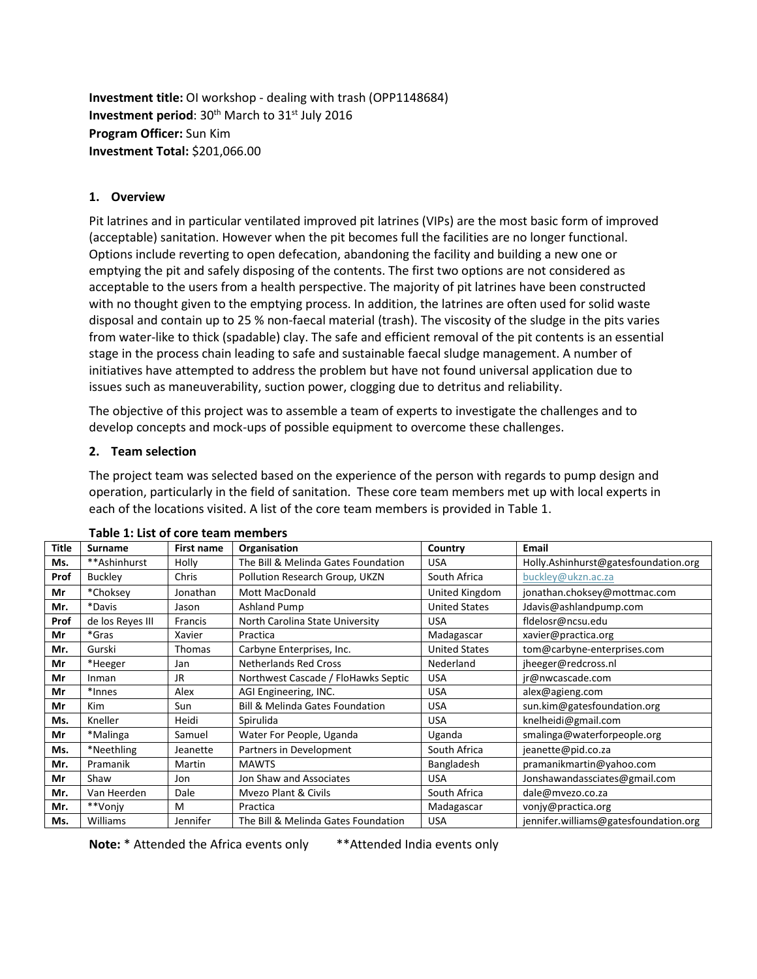**Investment title:** OI workshop - dealing with trash (OPP1148684) **Investment period:** 30<sup>th</sup> March to 31<sup>st</sup> July 2016 **Program Officer:** Sun Kim **Investment Total:** \$201,066.00

## **1. Overview**

Pit latrines and in particular ventilated improved pit latrines (VIPs) are the most basic form of improved (acceptable) sanitation. However when the pit becomes full the facilities are no longer functional. Options include reverting to open defecation, abandoning the facility and building a new one or emptying the pit and safely disposing of the contents. The first two options are not considered as acceptable to the users from a health perspective. The majority of pit latrines have been constructed with no thought given to the emptying process. In addition, the latrines are often used for solid waste disposal and contain up to 25 % non-faecal material (trash). The viscosity of the sludge in the pits varies from water-like to thick (spadable) clay. The safe and efficient removal of the pit contents is an essential stage in the process chain leading to safe and sustainable faecal sludge management. A number of initiatives have attempted to address the problem but have not found universal application due to issues such as maneuverability, suction power, clogging due to detritus and reliability.

The objective of this project was to assemble a team of experts to investigate the challenges and to develop concepts and mock-ups of possible equipment to overcome these challenges.

### **2. Team selection**

The project team was selected based on the experience of the person with regards to pump design and operation, particularly in the field of sanitation. These core team members met up with local experts in each of the locations visited. A list of the core team members is provided in Table 1.

| Title | <b>Surname</b>   | <b>First name</b> | Organisation                               | Country              | Email                                 |  |
|-------|------------------|-------------------|--------------------------------------------|----------------------|---------------------------------------|--|
| Ms.   | **Ashinhurst     | Holly             | The Bill & Melinda Gates Foundation        | <b>USA</b>           | Holly.Ashinhurst@gatesfoundation.org  |  |
| Prof  | <b>Buckley</b>   | Chris             | Pollution Research Group, UKZN             | South Africa         | buckley@ukzn.ac.za                    |  |
| Mr    | *Choksey         | Jonathan          | <b>Mott MacDonald</b>                      | United Kingdom       | jonathan.choksey@mottmac.com          |  |
| Mr.   | *Davis           | Jason             | <b>Ashland Pump</b>                        | <b>United States</b> | Jdavis@ashlandpump.com                |  |
| Prof  | de los Reyes III | Francis           | North Carolina State University            | <b>USA</b>           | fldelosr@ncsu.edu                     |  |
| Mr    | *Gras            | Xavier            | Practica                                   | Madagascar           | xavier@practica.org                   |  |
| Mr.   | Gurski           | Thomas            | Carbyne Enterprises, Inc.                  | <b>United States</b> | tom@carbyne-enterprises.com           |  |
| Mr    | *Heeger          | Jan               | <b>Netherlands Red Cross</b>               | Nederland            | jheeger@redcross.nl                   |  |
| Mr    | Inman            | JR                | Northwest Cascade / FloHawks Septic        | <b>USA</b>           | jr@nwcascade.com                      |  |
| Mr    | *Innes           | Alex              | AGI Engineering, INC.                      | <b>USA</b>           | alex@agieng.com                       |  |
| Mr    | <b>Kim</b>       | Sun               | <b>Bill &amp; Melinda Gates Foundation</b> | <b>USA</b>           | sun.kim@gatesfoundation.org           |  |
| Ms.   | Kneller          | Heidi             | Spirulida                                  | <b>USA</b>           | knelheidi@gmail.com                   |  |
| Mr    | *Malinga         | Samuel            | Water For People, Uganda                   | Uganda               | smalinga@waterforpeople.org           |  |
| Ms.   | *Neethling       | Jeanette          | Partners in Development                    | South Africa         | jeanette@pid.co.za                    |  |
| Mr.   | Pramanik         | Martin            | <b>MAWTS</b>                               | Bangladesh           | pramanikmartin@yahoo.com              |  |
| Mr    | Shaw             | Jon               | Jon Shaw and Associates                    | <b>USA</b>           | Jonshawandassciates@gmail.com         |  |
| Mr.   | Van Heerden      | Dale              | <b>Myezo Plant &amp; Civils</b>            | South Africa         | dale@mvezo.co.za                      |  |
| Mr.   | **Vonjy          | M                 | Practica                                   | Madagascar           | vonjy@practica.org                    |  |
| Ms.   | Williams         | Jennifer          | The Bill & Melinda Gates Foundation        | <b>USA</b>           | jennifer.williams@gatesfoundation.org |  |

| Table 1: List of core team members |  |  |  |  |  |
|------------------------------------|--|--|--|--|--|
|------------------------------------|--|--|--|--|--|

**Note:** \* Attended the Africa events only \*\*Attended India events only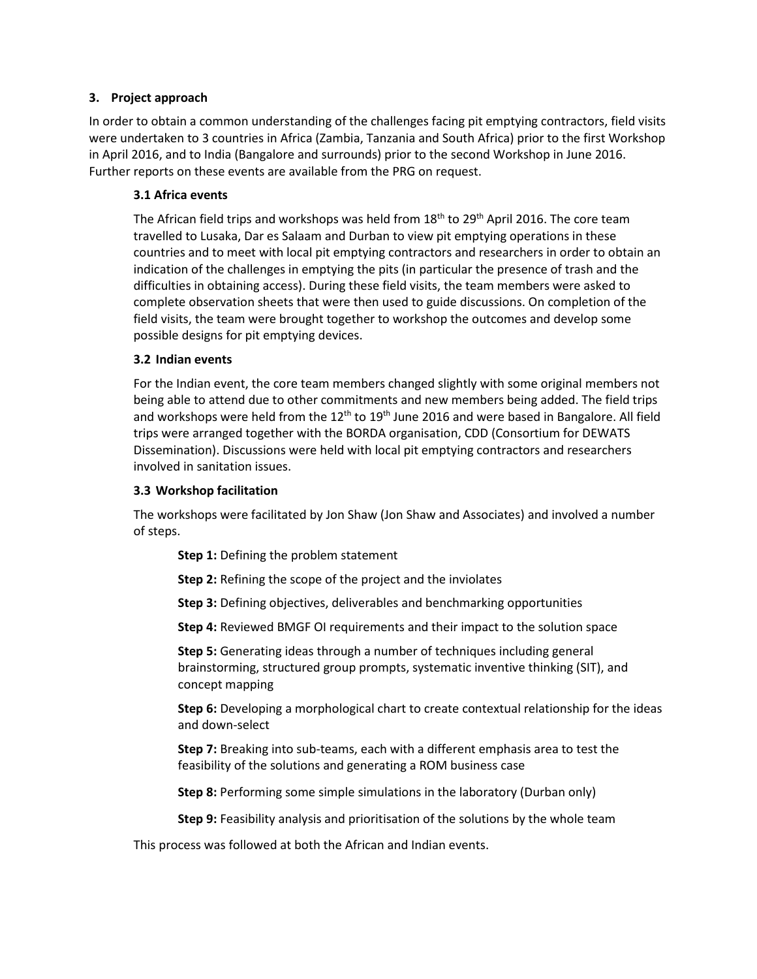### **3. Project approach**

In order to obtain a common understanding of the challenges facing pit emptying contractors, field visits were undertaken to 3 countries in Africa (Zambia, Tanzania and South Africa) prior to the first Workshop in April 2016, and to India (Bangalore and surrounds) prior to the second Workshop in June 2016. Further reports on these events are available from the PRG on request.

#### **3.1 Africa events**

The African field trips and workshops was held from  $18<sup>th</sup>$  to  $29<sup>th</sup>$  April 2016. The core team travelled to Lusaka, Dar es Salaam and Durban to view pit emptying operations in these countries and to meet with local pit emptying contractors and researchers in order to obtain an indication of the challenges in emptying the pits (in particular the presence of trash and the difficulties in obtaining access). During these field visits, the team members were asked to complete observation sheets that were then used to guide discussions. On completion of the field visits, the team were brought together to workshop the outcomes and develop some possible designs for pit emptying devices.

#### **3.2 Indian events**

For the Indian event, the core team members changed slightly with some original members not being able to attend due to other commitments and new members being added. The field trips and workshops were held from the  $12<sup>th</sup>$  to  $19<sup>th</sup>$  June 2016 and were based in Bangalore. All field trips were arranged together with the BORDA organisation, CDD (Consortium for DEWATS Dissemination). Discussions were held with local pit emptying contractors and researchers involved in sanitation issues.

#### **3.3 Workshop facilitation**

The workshops were facilitated by Jon Shaw (Jon Shaw and Associates) and involved a number of steps.

**Step 1:** Defining the problem statement

- **Step 2:** Refining the scope of the project and the inviolates
- **Step 3:** Defining objectives, deliverables and benchmarking opportunities

**Step 4:** Reviewed BMGF OI requirements and their impact to the solution space

**Step 5:** Generating ideas through a number of techniques including general brainstorming, structured group prompts, systematic inventive thinking (SIT), and concept mapping

**Step 6:** Developing a morphological chart to create contextual relationship for the ideas and down-select

**Step 7:** Breaking into sub-teams, each with a different emphasis area to test the feasibility of the solutions and generating a ROM business case

**Step 8:** Performing some simple simulations in the laboratory (Durban only)

**Step 9:** Feasibility analysis and prioritisation of the solutions by the whole team

This process was followed at both the African and Indian events.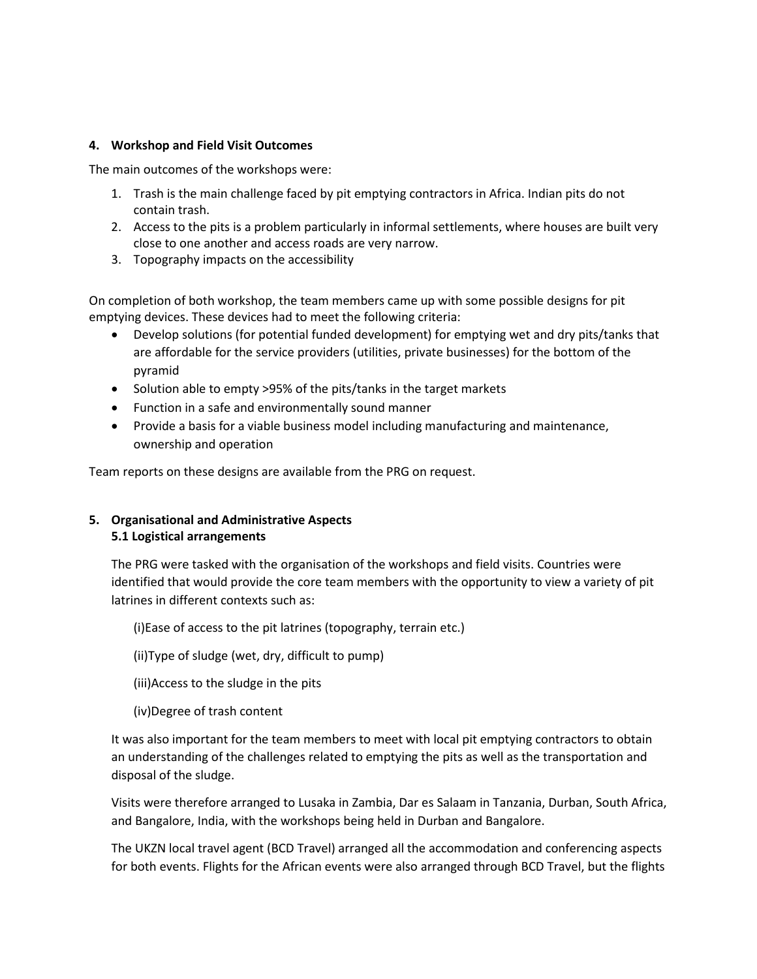## **4. Workshop and Field Visit Outcomes**

The main outcomes of the workshops were:

- 1. Trash is the main challenge faced by pit emptying contractors in Africa. Indian pits do not contain trash.
- 2. Access to the pits is a problem particularly in informal settlements, where houses are built very close to one another and access roads are very narrow.
- 3. Topography impacts on the accessibility

On completion of both workshop, the team members came up with some possible designs for pit emptying devices. These devices had to meet the following criteria:

- Develop solutions (for potential funded development) for emptying wet and dry pits/tanks that are affordable for the service providers (utilities, private businesses) for the bottom of the pyramid
- Solution able to empty >95% of the pits/tanks in the target markets
- Function in a safe and environmentally sound manner
- Provide a basis for a viable business model including manufacturing and maintenance, ownership and operation

Team reports on these designs are available from the PRG on request.

# **5. Organisational and Administrative Aspects 5.1 Logistical arrangements**

The PRG were tasked with the organisation of the workshops and field visits. Countries were identified that would provide the core team members with the opportunity to view a variety of pit latrines in different contexts such as:

(i)Ease of access to the pit latrines (topography, terrain etc.)

(ii)Type of sludge (wet, dry, difficult to pump)

- (iii)Access to the sludge in the pits
- (iv)Degree of trash content

It was also important for the team members to meet with local pit emptying contractors to obtain an understanding of the challenges related to emptying the pits as well as the transportation and disposal of the sludge.

Visits were therefore arranged to Lusaka in Zambia, Dar es Salaam in Tanzania, Durban, South Africa, and Bangalore, India, with the workshops being held in Durban and Bangalore.

The UKZN local travel agent (BCD Travel) arranged all the accommodation and conferencing aspects for both events. Flights for the African events were also arranged through BCD Travel, but the flights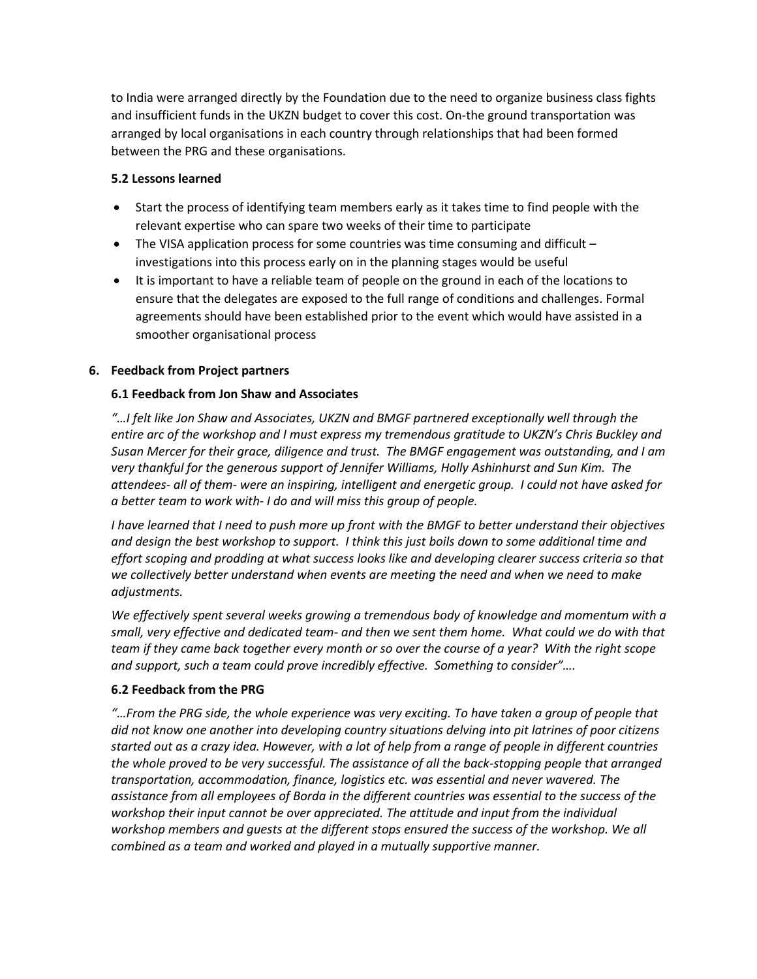to India were arranged directly by the Foundation due to the need to organize business class fights and insufficient funds in the UKZN budget to cover this cost. On-the ground transportation was arranged by local organisations in each country through relationships that had been formed between the PRG and these organisations.

## **5.2 Lessons learned**

- Start the process of identifying team members early as it takes time to find people with the relevant expertise who can spare two weeks of their time to participate
- The VISA application process for some countries was time consuming and difficult investigations into this process early on in the planning stages would be useful
- It is important to have a reliable team of people on the ground in each of the locations to ensure that the delegates are exposed to the full range of conditions and challenges. Formal agreements should have been established prior to the event which would have assisted in a smoother organisational process

# **6. Feedback from Project partners**

# **6.1 Feedback from Jon Shaw and Associates**

*"…I felt like Jon Shaw and Associates, UKZN and BMGF partnered exceptionally well through the entire arc of the workshop and I must express my tremendous gratitude to UKZN's Chris Buckley and Susan Mercer for their grace, diligence and trust. The BMGF engagement was outstanding, and I am very thankful for the generous support of Jennifer Williams, Holly Ashinhurst and Sun Kim. The attendees- all of them- were an inspiring, intelligent and energetic group. I could not have asked for a better team to work with- I do and will miss this group of people.*

*I have learned that I need to push more up front with the BMGF to better understand their objectives and design the best workshop to support. I think this just boils down to some additional time and effort scoping and prodding at what success looks like and developing clearer success criteria so that we collectively better understand when events are meeting the need and when we need to make adjustments.* 

*We effectively spent several weeks growing a tremendous body of knowledge and momentum with a small, very effective and dedicated team- and then we sent them home. What could we do with that team if they came back together every month or so over the course of a year? With the right scope and support, such a team could prove incredibly effective. Something to consider"….*

### **6.2 Feedback from the PRG**

*"…From the PRG side, the whole experience was very exciting. To have taken a group of people that did not know one another into developing country situations delving into pit latrines of poor citizens started out as a crazy idea. However, with a lot of help from a range of people in different countries the whole proved to be very successful. The assistance of all the back-stopping people that arranged transportation, accommodation, finance, logistics etc. was essential and never wavered. The assistance from all employees of Borda in the different countries was essential to the success of the workshop their input cannot be over appreciated. The attitude and input from the individual workshop members and guests at the different stops ensured the success of the workshop. We all combined as a team and worked and played in a mutually supportive manner.*